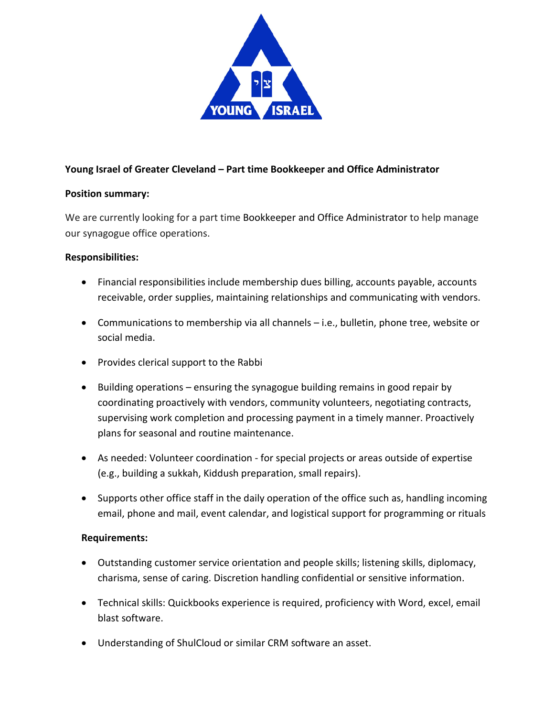

## **Young Israel of Greater Cleveland – Part time Bookkeeper and Office Administrator**

## **Position summary:**

We are currently looking for a part time Bookkeeper and Office Administrator to help manage our synagogue office operations.

## **Responsibilities:**

- Financial responsibilities include membership dues billing, accounts payable, accounts receivable, order supplies, maintaining relationships and communicating with vendors.
- Communications to membership via all channels i.e., bulletin, phone tree, website or social media.
- Provides clerical support to the Rabbi
- Building operations ensuring the synagogue building remains in good repair by coordinating proactively with vendors, community volunteers, negotiating contracts, supervising work completion and processing payment in a timely manner. Proactively plans for seasonal and routine maintenance.
- As needed: Volunteer coordination for special projects or areas outside of expertise (e.g., building a sukkah, Kiddush preparation, small repairs).
- Supports other office staff in the daily operation of the office such as, handling incoming email, phone and mail, event calendar, and logistical support for programming or rituals

## **Requirements:**

- Outstanding customer service orientation and people skills; listening skills, diplomacy, charisma, sense of caring. Discretion handling confidential or sensitive information.
- Technical skills: Quickbooks experience is required, proficiency with Word, excel, email blast software.
- Understanding of ShulCloud or similar CRM software an asset.